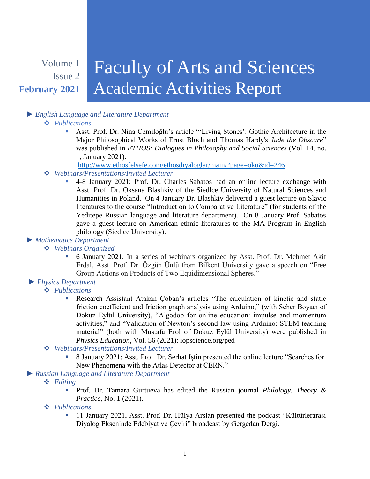# Volume 1 Issue 2 **February 2021**

# Faculty of Arts and Sciences Academic Activities Report

# *► English Language and Literature Department*

#### *Publications*

 Asst. Prof. Dr. Nina Cemiloğlu's article "'Living Stones': Gothic Architecture in the Major Philosophical Works of Ernst Bloch and Thomas Hardy's *Jude the Obscure*" was published in *ETHOS: Dialogues in Philosophy and Social Sciences* (Vol. 14, no. 1, January 2021):

<http://www.ethosfelsefe.com/ethosdiyaloglar/main/?page=oku&id=246>

# *Webinars/Presentations/Invited Lecturer*

 4-8 January 2021: Prof. Dr. Charles Sabatos had an online lecture exchange with Asst. Prof. Dr. Oksana Blashkiv of the Siedlce University of Natural Sciences and Humanities in Poland. On 4 January Dr. Blashkiv delivered a guest lecture on Slavic literatures to the course "Introduction to Comparative Literature" (for students of the Yeditepe Russian language and literature department). On 8 January Prof. Sabatos gave a guest lecture on American ethnic literatures to the MA Program in English philology (Siedlce University).

# *► Mathematics Department*

# *Webinars Organized*

 6 January 2021, In a series of webinars organized by Asst. Prof. Dr. Mehmet Akif Erdal, Asst. Prof. Dr. Özgün Ünlü from Bilkent University gave a speech on "Free Group Actions on Products of Two Equidimensional Spheres."

# *► Physics Department*

- *Publications*
	- Research Assistant Atakan Çoban's articles "The calculation of kinetic and static friction coefficient and friction graph analysis using Arduino," (with Seher Boyacı of Dokuz Eylül University), "Algodoo for online education: impulse and momentum activities," and "Validation of Newton's second law using Arduino: STEM teaching material" (both with Mustafa Erol of Dokuz Eylül University) were published in *Physics Education*, Vol. 56 (2021): iopscience.org/ped

# *Webinars/Presentations/Invited Lecturer*

 8 January 2021: Asst. Prof. Dr. Serhat Iştin presented the online lecture "Searches for New Phenomena with the Atlas Detector at CERN."

# *► Russian Language and Literature Department*

- *Editing*
	- Prof. Dr. Tamara Gurtueva has edited the Russian journal *Philology. Theory & Practice*, No. 1 (2021).
- *Publications*
	- <sup>1</sup> 11 January 2021, Asst. Prof. Dr. Hülya Arslan presented the podcast "Kültürlerarası Diyalog Ekseninde Edebiyat ve Çeviri" broadcast by Gergedan Dergi.